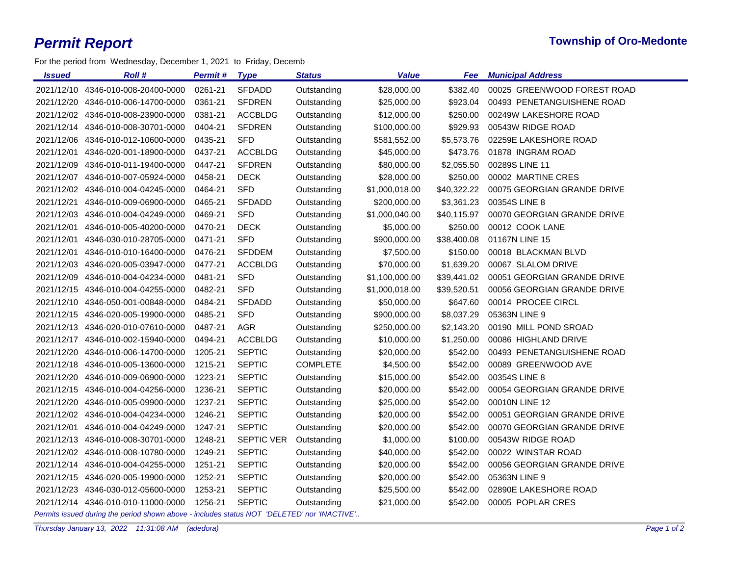For the period from Wednesday, December 1, 2021 to Friday, Decemb

| 2021/12/10 4346-010-008-20400-0000<br>0261-21<br><b>SFDADD</b><br>\$28,000.00<br>\$382.40<br>00025 GREENWOOD FOREST ROAD<br>Outstanding<br>0361-21<br><b>SFDREN</b><br>\$923.04<br>00493 PENETANGUISHENE ROAD<br>2021/12/20 4346-010-006-14700-0000<br>Outstanding<br>\$25,000.00<br><b>ACCBLDG</b><br>\$250.00<br>00249W LAKESHORE ROAD<br>2021/12/02 4346-010-008-23900-0000<br>0381-21<br>Outstanding<br>\$12,000.00<br>2021/12/14 4346-010-008-30701-0000<br>0404-21<br><b>SFDREN</b><br>Outstanding<br>\$929.93<br>00543W RIDGE ROAD<br>\$100,000.00<br><b>SFD</b><br>2021/12/06 4346-010-012-10600-0000<br>0435-21<br>\$5,573.76<br>02259E LAKESHORE ROAD<br>Outstanding<br>\$581,552.00<br><b>ACCBLDG</b><br>01878 INGRAM ROAD<br>2021/12/01 4346-020-001-18900-0000<br>0437-21<br>\$45,000.00<br>\$473.76<br>Outstanding<br><b>SFDREN</b><br>00289S LINE 11<br>2021/12/09<br>4346-010-011-19400-0000<br>0447-21<br>\$80,000.00<br>\$2,055.50<br>Outstanding<br><b>DECK</b><br>00002 MARTINE CRES<br>2021/12/07 4346-010-007-05924-0000<br>0458-21<br>Outstanding<br>\$28,000.00<br>\$250.00<br>2021/12/02 4346-010-004-04245-0000<br>0464-21<br><b>SFD</b><br>\$40,322.22<br>00075 GEORGIAN GRANDE DRIVE<br>Outstanding<br>\$1,000,018.00<br>2021/12/21 4346-010-009-06900-0000<br>0465-21<br><b>SFDADD</b><br>\$200,000.00<br>\$3,361.23<br>00354S LINE 8<br>Outstanding<br><b>SFD</b><br>00070 GEORGIAN GRANDE DRIVE<br>2021/12/03 4346-010-004-04249-0000<br>0469-21<br>Outstanding<br>\$1,000,040.00<br>\$40,115.97<br>2021/12/01 4346-010-005-40200-0000<br><b>DECK</b><br>00012 COOK LANE<br>0470-21<br>Outstanding<br>\$5,000.00<br>\$250.00<br><b>SFD</b><br>\$38,400.08<br>01167N LINE 15<br>2021/12/01<br>4346-030-010-28705-0000<br>0471-21<br>Outstanding<br>\$900,000.00<br><b>SFDDEM</b><br>\$7,500.00<br>00018 BLACKMAN BLVD<br>2021/12/01 4346-010-010-16400-0000<br>0476-21<br>\$150.00<br>Outstanding<br>00067 SLALOM DRIVE<br>2021/12/03 4346-020-005-03947-0000<br>0477-21<br><b>ACCBLDG</b><br>Outstanding<br>\$70,000.00<br>\$1,639.20<br><b>SFD</b><br>2021/12/09 4346-010-004-04234-0000<br>0481-21<br>00051 GEORGIAN GRANDE DRIVE<br>Outstanding<br>\$1,100,000.00<br>\$39,441.02 |
|--------------------------------------------------------------------------------------------------------------------------------------------------------------------------------------------------------------------------------------------------------------------------------------------------------------------------------------------------------------------------------------------------------------------------------------------------------------------------------------------------------------------------------------------------------------------------------------------------------------------------------------------------------------------------------------------------------------------------------------------------------------------------------------------------------------------------------------------------------------------------------------------------------------------------------------------------------------------------------------------------------------------------------------------------------------------------------------------------------------------------------------------------------------------------------------------------------------------------------------------------------------------------------------------------------------------------------------------------------------------------------------------------------------------------------------------------------------------------------------------------------------------------------------------------------------------------------------------------------------------------------------------------------------------------------------------------------------------------------------------------------------------------------------------------------------------------------------------------------------------------------------------------------------------------------------------------------------------------------------------------------------------------------------------------------------------------------------------------------------------------------------------------------------------------------------------------------------------|
|                                                                                                                                                                                                                                                                                                                                                                                                                                                                                                                                                                                                                                                                                                                                                                                                                                                                                                                                                                                                                                                                                                                                                                                                                                                                                                                                                                                                                                                                                                                                                                                                                                                                                                                                                                                                                                                                                                                                                                                                                                                                                                                                                                                                                    |
|                                                                                                                                                                                                                                                                                                                                                                                                                                                                                                                                                                                                                                                                                                                                                                                                                                                                                                                                                                                                                                                                                                                                                                                                                                                                                                                                                                                                                                                                                                                                                                                                                                                                                                                                                                                                                                                                                                                                                                                                                                                                                                                                                                                                                    |
|                                                                                                                                                                                                                                                                                                                                                                                                                                                                                                                                                                                                                                                                                                                                                                                                                                                                                                                                                                                                                                                                                                                                                                                                                                                                                                                                                                                                                                                                                                                                                                                                                                                                                                                                                                                                                                                                                                                                                                                                                                                                                                                                                                                                                    |
|                                                                                                                                                                                                                                                                                                                                                                                                                                                                                                                                                                                                                                                                                                                                                                                                                                                                                                                                                                                                                                                                                                                                                                                                                                                                                                                                                                                                                                                                                                                                                                                                                                                                                                                                                                                                                                                                                                                                                                                                                                                                                                                                                                                                                    |
|                                                                                                                                                                                                                                                                                                                                                                                                                                                                                                                                                                                                                                                                                                                                                                                                                                                                                                                                                                                                                                                                                                                                                                                                                                                                                                                                                                                                                                                                                                                                                                                                                                                                                                                                                                                                                                                                                                                                                                                                                                                                                                                                                                                                                    |
|                                                                                                                                                                                                                                                                                                                                                                                                                                                                                                                                                                                                                                                                                                                                                                                                                                                                                                                                                                                                                                                                                                                                                                                                                                                                                                                                                                                                                                                                                                                                                                                                                                                                                                                                                                                                                                                                                                                                                                                                                                                                                                                                                                                                                    |
|                                                                                                                                                                                                                                                                                                                                                                                                                                                                                                                                                                                                                                                                                                                                                                                                                                                                                                                                                                                                                                                                                                                                                                                                                                                                                                                                                                                                                                                                                                                                                                                                                                                                                                                                                                                                                                                                                                                                                                                                                                                                                                                                                                                                                    |
|                                                                                                                                                                                                                                                                                                                                                                                                                                                                                                                                                                                                                                                                                                                                                                                                                                                                                                                                                                                                                                                                                                                                                                                                                                                                                                                                                                                                                                                                                                                                                                                                                                                                                                                                                                                                                                                                                                                                                                                                                                                                                                                                                                                                                    |
|                                                                                                                                                                                                                                                                                                                                                                                                                                                                                                                                                                                                                                                                                                                                                                                                                                                                                                                                                                                                                                                                                                                                                                                                                                                                                                                                                                                                                                                                                                                                                                                                                                                                                                                                                                                                                                                                                                                                                                                                                                                                                                                                                                                                                    |
|                                                                                                                                                                                                                                                                                                                                                                                                                                                                                                                                                                                                                                                                                                                                                                                                                                                                                                                                                                                                                                                                                                                                                                                                                                                                                                                                                                                                                                                                                                                                                                                                                                                                                                                                                                                                                                                                                                                                                                                                                                                                                                                                                                                                                    |
|                                                                                                                                                                                                                                                                                                                                                                                                                                                                                                                                                                                                                                                                                                                                                                                                                                                                                                                                                                                                                                                                                                                                                                                                                                                                                                                                                                                                                                                                                                                                                                                                                                                                                                                                                                                                                                                                                                                                                                                                                                                                                                                                                                                                                    |
|                                                                                                                                                                                                                                                                                                                                                                                                                                                                                                                                                                                                                                                                                                                                                                                                                                                                                                                                                                                                                                                                                                                                                                                                                                                                                                                                                                                                                                                                                                                                                                                                                                                                                                                                                                                                                                                                                                                                                                                                                                                                                                                                                                                                                    |
|                                                                                                                                                                                                                                                                                                                                                                                                                                                                                                                                                                                                                                                                                                                                                                                                                                                                                                                                                                                                                                                                                                                                                                                                                                                                                                                                                                                                                                                                                                                                                                                                                                                                                                                                                                                                                                                                                                                                                                                                                                                                                                                                                                                                                    |
|                                                                                                                                                                                                                                                                                                                                                                                                                                                                                                                                                                                                                                                                                                                                                                                                                                                                                                                                                                                                                                                                                                                                                                                                                                                                                                                                                                                                                                                                                                                                                                                                                                                                                                                                                                                                                                                                                                                                                                                                                                                                                                                                                                                                                    |
|                                                                                                                                                                                                                                                                                                                                                                                                                                                                                                                                                                                                                                                                                                                                                                                                                                                                                                                                                                                                                                                                                                                                                                                                                                                                                                                                                                                                                                                                                                                                                                                                                                                                                                                                                                                                                                                                                                                                                                                                                                                                                                                                                                                                                    |
|                                                                                                                                                                                                                                                                                                                                                                                                                                                                                                                                                                                                                                                                                                                                                                                                                                                                                                                                                                                                                                                                                                                                                                                                                                                                                                                                                                                                                                                                                                                                                                                                                                                                                                                                                                                                                                                                                                                                                                                                                                                                                                                                                                                                                    |
| <b>SFD</b><br>2021/12/15 4346-010-004-04255-0000<br>0482-21<br>\$39,520.51<br>00056 GEORGIAN GRANDE DRIVE<br>Outstanding<br>\$1,000,018.00                                                                                                                                                                                                                                                                                                                                                                                                                                                                                                                                                                                                                                                                                                                                                                                                                                                                                                                                                                                                                                                                                                                                                                                                                                                                                                                                                                                                                                                                                                                                                                                                                                                                                                                                                                                                                                                                                                                                                                                                                                                                         |
| <b>SFDADD</b><br>00014 PROCEE CIRCL<br>2021/12/10 4346-050-001-00848-0000<br>0484-21<br>Outstanding<br>\$50,000.00<br>\$647.60                                                                                                                                                                                                                                                                                                                                                                                                                                                                                                                                                                                                                                                                                                                                                                                                                                                                                                                                                                                                                                                                                                                                                                                                                                                                                                                                                                                                                                                                                                                                                                                                                                                                                                                                                                                                                                                                                                                                                                                                                                                                                     |
| <b>SFD</b><br>\$8,037.29<br>2021/12/15 4346-020-005-19900-0000<br>0485-21<br>Outstanding<br>\$900,000.00<br>05363N LINE 9                                                                                                                                                                                                                                                                                                                                                                                                                                                                                                                                                                                                                                                                                                                                                                                                                                                                                                                                                                                                                                                                                                                                                                                                                                                                                                                                                                                                                                                                                                                                                                                                                                                                                                                                                                                                                                                                                                                                                                                                                                                                                          |
| 0487-21<br><b>AGR</b><br>\$2,143.20<br>00190 MILL POND SROAD<br>2021/12/13 4346-020-010-07610-0000<br>Outstanding<br>\$250,000.00                                                                                                                                                                                                                                                                                                                                                                                                                                                                                                                                                                                                                                                                                                                                                                                                                                                                                                                                                                                                                                                                                                                                                                                                                                                                                                                                                                                                                                                                                                                                                                                                                                                                                                                                                                                                                                                                                                                                                                                                                                                                                  |
| 2021/12/17 4346-010-002-15940-0000<br>0494-21<br><b>ACCBLDG</b><br>\$10,000.00<br>\$1,250.00<br>00086 HIGHLAND DRIVE<br>Outstanding                                                                                                                                                                                                                                                                                                                                                                                                                                                                                                                                                                                                                                                                                                                                                                                                                                                                                                                                                                                                                                                                                                                                                                                                                                                                                                                                                                                                                                                                                                                                                                                                                                                                                                                                                                                                                                                                                                                                                                                                                                                                                |
| 2021/12/20 4346-010-006-14700-0000<br>1205-21<br><b>SEPTIC</b><br>\$20,000.00<br>\$542.00<br>00493 PENETANGUISHENE ROAD<br>Outstanding                                                                                                                                                                                                                                                                                                                                                                                                                                                                                                                                                                                                                                                                                                                                                                                                                                                                                                                                                                                                                                                                                                                                                                                                                                                                                                                                                                                                                                                                                                                                                                                                                                                                                                                                                                                                                                                                                                                                                                                                                                                                             |
| 2021/12/18 4346-010-005-13600-0000<br><b>SEPTIC</b><br><b>COMPLETE</b><br>\$4,500.00<br>\$542.00<br>00089 GREENWOOD AVE<br>1215-21                                                                                                                                                                                                                                                                                                                                                                                                                                                                                                                                                                                                                                                                                                                                                                                                                                                                                                                                                                                                                                                                                                                                                                                                                                                                                                                                                                                                                                                                                                                                                                                                                                                                                                                                                                                                                                                                                                                                                                                                                                                                                 |
| 00354S LINE 8<br>2021/12/20 4346-010-009-06900-0000<br>1223-21<br><b>SEPTIC</b><br>\$15,000.00<br>\$542.00<br>Outstanding                                                                                                                                                                                                                                                                                                                                                                                                                                                                                                                                                                                                                                                                                                                                                                                                                                                                                                                                                                                                                                                                                                                                                                                                                                                                                                                                                                                                                                                                                                                                                                                                                                                                                                                                                                                                                                                                                                                                                                                                                                                                                          |
| <b>SEPTIC</b><br>00054 GEORGIAN GRANDE DRIVE<br>2021/12/15 4346-010-004-04256-0000<br>1236-21<br>\$20,000.00<br>\$542.00<br>Outstanding                                                                                                                                                                                                                                                                                                                                                                                                                                                                                                                                                                                                                                                                                                                                                                                                                                                                                                                                                                                                                                                                                                                                                                                                                                                                                                                                                                                                                                                                                                                                                                                                                                                                                                                                                                                                                                                                                                                                                                                                                                                                            |
| <b>SEPTIC</b><br>\$542.00<br>00010N LINE 12<br>2021/12/20 4346-010-005-09900-0000<br>1237-21<br>\$25,000.00<br>Outstanding                                                                                                                                                                                                                                                                                                                                                                                                                                                                                                                                                                                                                                                                                                                                                                                                                                                                                                                                                                                                                                                                                                                                                                                                                                                                                                                                                                                                                                                                                                                                                                                                                                                                                                                                                                                                                                                                                                                                                                                                                                                                                         |
| 2021/12/02 4346-010-004-04234-0000<br><b>SEPTIC</b><br>00051 GEORGIAN GRANDE DRIVE<br>1246-21<br>Outstanding<br>\$20,000.00<br>\$542.00                                                                                                                                                                                                                                                                                                                                                                                                                                                                                                                                                                                                                                                                                                                                                                                                                                                                                                                                                                                                                                                                                                                                                                                                                                                                                                                                                                                                                                                                                                                                                                                                                                                                                                                                                                                                                                                                                                                                                                                                                                                                            |
| 2021/12/01 4346-010-004-04249-0000<br>1247-21<br><b>SEPTIC</b><br>\$20,000.00<br>\$542.00<br>00070 GEORGIAN GRANDE DRIVE<br>Outstanding                                                                                                                                                                                                                                                                                                                                                                                                                                                                                                                                                                                                                                                                                                                                                                                                                                                                                                                                                                                                                                                                                                                                                                                                                                                                                                                                                                                                                                                                                                                                                                                                                                                                                                                                                                                                                                                                                                                                                                                                                                                                            |
| SEPTIC VER<br>00543W RIDGE ROAD<br>2021/12/13 4346-010-008-30701-0000<br>1248-21<br>Outstanding<br>\$1,000.00<br>\$100.00                                                                                                                                                                                                                                                                                                                                                                                                                                                                                                                                                                                                                                                                                                                                                                                                                                                                                                                                                                                                                                                                                                                                                                                                                                                                                                                                                                                                                                                                                                                                                                                                                                                                                                                                                                                                                                                                                                                                                                                                                                                                                          |
| <b>SEPTIC</b><br>00022 WINSTAR ROAD<br>2021/12/02 4346-010-008-10780-0000<br>1249-21<br>Outstanding<br>\$40,000.00<br>\$542.00                                                                                                                                                                                                                                                                                                                                                                                                                                                                                                                                                                                                                                                                                                                                                                                                                                                                                                                                                                                                                                                                                                                                                                                                                                                                                                                                                                                                                                                                                                                                                                                                                                                                                                                                                                                                                                                                                                                                                                                                                                                                                     |
| 00056 GEORGIAN GRANDE DRIVE<br>2021/12/14 4346-010-004-04255-0000<br>1251-21<br><b>SEPTIC</b><br>Outstanding<br>\$20,000.00<br>\$542.00                                                                                                                                                                                                                                                                                                                                                                                                                                                                                                                                                                                                                                                                                                                                                                                                                                                                                                                                                                                                                                                                                                                                                                                                                                                                                                                                                                                                                                                                                                                                                                                                                                                                                                                                                                                                                                                                                                                                                                                                                                                                            |
| 2021/12/15 4346-020-005-19900-0000<br>1252-21<br><b>SEPTIC</b><br>\$542.00<br>05363N LINE 9<br>Outstanding<br>\$20,000.00                                                                                                                                                                                                                                                                                                                                                                                                                                                                                                                                                                                                                                                                                                                                                                                                                                                                                                                                                                                                                                                                                                                                                                                                                                                                                                                                                                                                                                                                                                                                                                                                                                                                                                                                                                                                                                                                                                                                                                                                                                                                                          |
| 2021/12/23 4346-030-012-05600-0000<br>1253-21<br><b>SEPTIC</b><br>\$542.00<br>02890E LAKESHORE ROAD<br>Outstanding<br>\$25,500.00                                                                                                                                                                                                                                                                                                                                                                                                                                                                                                                                                                                                                                                                                                                                                                                                                                                                                                                                                                                                                                                                                                                                                                                                                                                                                                                                                                                                                                                                                                                                                                                                                                                                                                                                                                                                                                                                                                                                                                                                                                                                                  |
| 00005 POPLAR CRES<br>2021/12/14 4346-010-010-11000-0000<br>1256-21<br><b>SEPTIC</b><br>\$21,000.00<br>\$542.00<br>Outstanding<br>$P = P = P$<br>$\cdots$                                                                                                                                                                                                                                                                                                                                                                                                                                                                                                                                                                                                                                                                                                                                                                                                                                                                                                                                                                                                                                                                                                                                                                                                                                                                                                                                                                                                                                                                                                                                                                                                                                                                                                                                                                                                                                                                                                                                                                                                                                                           |

*Permits issued during the period shown above - includes status NOT 'DELETED' nor 'INACTIVE'..*

*Thursday January 13, 2022 11:31:08 AM (adedora) Page 1 of 2*